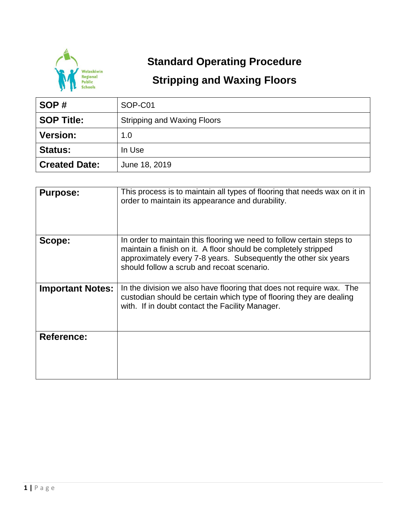

## **Standard Operating Procedure**

## **Stripping and Waxing Floors**

| SOP#                 | SOP-C01                            |  |  |
|----------------------|------------------------------------|--|--|
| <b>SOP Title:</b>    | <b>Stripping and Waxing Floors</b> |  |  |
| <b>Version:</b>      | 1.0                                |  |  |
| <b>Status:</b>       | In Use                             |  |  |
| <b>Created Date:</b> | June 18, 2019                      |  |  |

| <b>Purpose:</b>         | This process is to maintain all types of flooring that needs wax on it in<br>order to maintain its appearance and durability.                                                                                                                            |
|-------------------------|----------------------------------------------------------------------------------------------------------------------------------------------------------------------------------------------------------------------------------------------------------|
| Scope:                  | In order to maintain this flooring we need to follow certain steps to<br>maintain a finish on it. A floor should be completely stripped<br>approximately every 7-8 years. Subsequently the other six years<br>should follow a scrub and recoat scenario. |
| <b>Important Notes:</b> | In the division we also have flooring that does not require wax. The<br>custodian should be certain which type of flooring they are dealing<br>with. If in doubt contact the Facility Manager.                                                           |
| <b>Reference:</b>       |                                                                                                                                                                                                                                                          |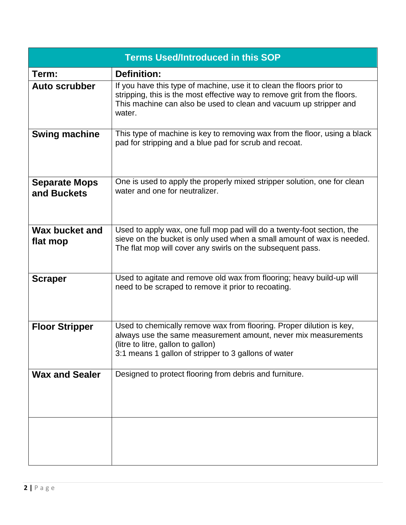| <b>Terms Used/Introduced in this SOP</b> |                                                                                                                                                                                                                                      |  |  |  |  |
|------------------------------------------|--------------------------------------------------------------------------------------------------------------------------------------------------------------------------------------------------------------------------------------|--|--|--|--|
| Term:                                    | <b>Definition:</b>                                                                                                                                                                                                                   |  |  |  |  |
| <b>Auto scrubber</b>                     | If you have this type of machine, use it to clean the floors prior to<br>stripping, this is the most effective way to remove grit from the floors.<br>This machine can also be used to clean and vacuum up stripper and<br>water.    |  |  |  |  |
| <b>Swing machine</b>                     | This type of machine is key to removing wax from the floor, using a black<br>pad for stripping and a blue pad for scrub and recoat.                                                                                                  |  |  |  |  |
| <b>Separate Mops</b><br>and Buckets      | One is used to apply the properly mixed stripper solution, one for clean<br>water and one for neutralizer.                                                                                                                           |  |  |  |  |
| Wax bucket and<br>flat mop               | Used to apply wax, one full mop pad will do a twenty-foot section, the<br>sieve on the bucket is only used when a small amount of wax is needed.<br>The flat mop will cover any swirls on the subsequent pass.                       |  |  |  |  |
| <b>Scraper</b>                           | Used to agitate and remove old wax from flooring; heavy build-up will<br>need to be scraped to remove it prior to recoating.                                                                                                         |  |  |  |  |
| <b>Floor Stripper</b>                    | Used to chemically remove wax from flooring. Proper dilution is key,<br>always use the same measurement amount, never mix measurements<br>(litre to litre, gallon to gallon)<br>3:1 means 1 gallon of stripper to 3 gallons of water |  |  |  |  |
| <b>Wax and Sealer</b>                    | Designed to protect flooring from debris and furniture.                                                                                                                                                                              |  |  |  |  |
|                                          |                                                                                                                                                                                                                                      |  |  |  |  |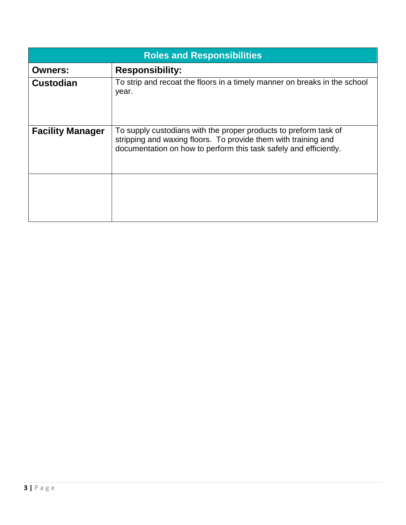| <b>Roles and Responsibilities</b> |                                                                                                                                                                                                         |  |  |  |  |
|-----------------------------------|---------------------------------------------------------------------------------------------------------------------------------------------------------------------------------------------------------|--|--|--|--|
| <b>Owners:</b>                    | <b>Responsibility:</b>                                                                                                                                                                                  |  |  |  |  |
| <b>Custodian</b>                  | To strip and recoat the floors in a timely manner on breaks in the school<br>year.                                                                                                                      |  |  |  |  |
| <b>Facility Manager</b>           | To supply custodians with the proper products to preform task of<br>stripping and waxing floors. To provide them with training and<br>documentation on how to perform this task safely and efficiently. |  |  |  |  |
|                                   |                                                                                                                                                                                                         |  |  |  |  |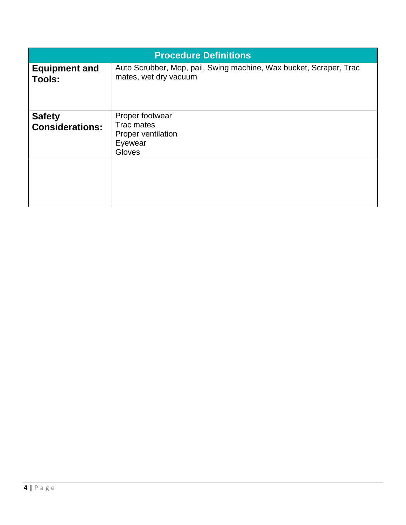| <b>Procedure Definitions</b>            |                                                                                             |  |  |
|-----------------------------------------|---------------------------------------------------------------------------------------------|--|--|
| <b>Equipment and</b><br><b>Tools:</b>   | Auto Scrubber, Mop, pail, Swing machine, Wax bucket, Scraper, Trac<br>mates, wet dry vacuum |  |  |
| <b>Safety</b><br><b>Considerations:</b> | Proper footwear<br>Trac mates<br>Proper ventilation<br>Eyewear<br>Gloves                    |  |  |
|                                         |                                                                                             |  |  |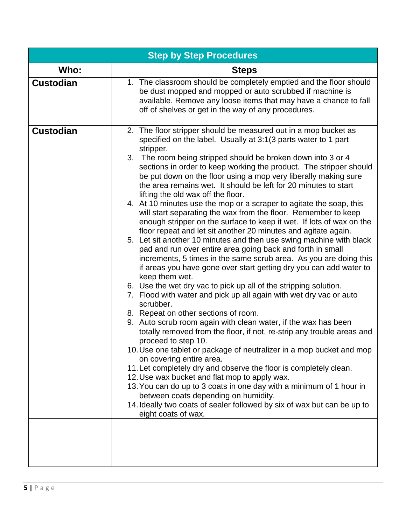| <b>Step by Step Procedures</b> |                                                                                                                                                                                                                                                                                                                                                                                                                                                                                                                                                                                                                                                                                                                                                                                                                                                                                                                                                                                                                                                                                                                                                                                                                                                                                                                                                                                                                                                                                                                                                                                                                                                                                                                                                                                                                                                                    |  |  |  |  |
|--------------------------------|--------------------------------------------------------------------------------------------------------------------------------------------------------------------------------------------------------------------------------------------------------------------------------------------------------------------------------------------------------------------------------------------------------------------------------------------------------------------------------------------------------------------------------------------------------------------------------------------------------------------------------------------------------------------------------------------------------------------------------------------------------------------------------------------------------------------------------------------------------------------------------------------------------------------------------------------------------------------------------------------------------------------------------------------------------------------------------------------------------------------------------------------------------------------------------------------------------------------------------------------------------------------------------------------------------------------------------------------------------------------------------------------------------------------------------------------------------------------------------------------------------------------------------------------------------------------------------------------------------------------------------------------------------------------------------------------------------------------------------------------------------------------------------------------------------------------------------------------------------------------|--|--|--|--|
| Who:                           | <b>Steps</b>                                                                                                                                                                                                                                                                                                                                                                                                                                                                                                                                                                                                                                                                                                                                                                                                                                                                                                                                                                                                                                                                                                                                                                                                                                                                                                                                                                                                                                                                                                                                                                                                                                                                                                                                                                                                                                                       |  |  |  |  |
| <b>Custodian</b>               | 1. The classroom should be completely emptied and the floor should<br>be dust mopped and mopped or auto scrubbed if machine is<br>available. Remove any loose items that may have a chance to fall<br>off of shelves or get in the way of any procedures.                                                                                                                                                                                                                                                                                                                                                                                                                                                                                                                                                                                                                                                                                                                                                                                                                                                                                                                                                                                                                                                                                                                                                                                                                                                                                                                                                                                                                                                                                                                                                                                                          |  |  |  |  |
| <b>Custodian</b>               | 2. The floor stripper should be measured out in a mop bucket as<br>specified on the label. Usually at 3:1(3 parts water to 1 part<br>stripper.<br>3. The room being stripped should be broken down into 3 or 4<br>sections in order to keep working the product. The stripper should<br>be put down on the floor using a mop very liberally making sure<br>the area remains wet. It should be left for 20 minutes to start<br>lifting the old wax off the floor.<br>4. At 10 minutes use the mop or a scraper to agitate the soap, this<br>will start separating the wax from the floor. Remember to keep<br>enough stripper on the surface to keep it wet. If lots of wax on the<br>floor repeat and let sit another 20 minutes and agitate again.<br>5. Let sit another 10 minutes and then use swing machine with black<br>pad and run over entire area going back and forth in small<br>increments, 5 times in the same scrub area. As you are doing this<br>if areas you have gone over start getting dry you can add water to<br>keep them wet.<br>6. Use the wet dry vac to pick up all of the stripping solution.<br>7. Flood with water and pick up all again with wet dry vac or auto<br>scrubber.<br>8. Repeat on other sections of room.<br>9. Auto scrub room again with clean water, if the wax has been<br>totally removed from the floor, if not, re-strip any trouble areas and<br>proceed to step 10.<br>10. Use one tablet or package of neutralizer in a mop bucket and mop<br>on covering entire area.<br>11. Let completely dry and observe the floor is completely clean.<br>12. Use wax bucket and flat mop to apply wax.<br>13. You can do up to 3 coats in one day with a minimum of 1 hour in<br>between coats depending on humidity.<br>14. Ideally two coats of sealer followed by six of wax but can be up to<br>eight coats of wax. |  |  |  |  |